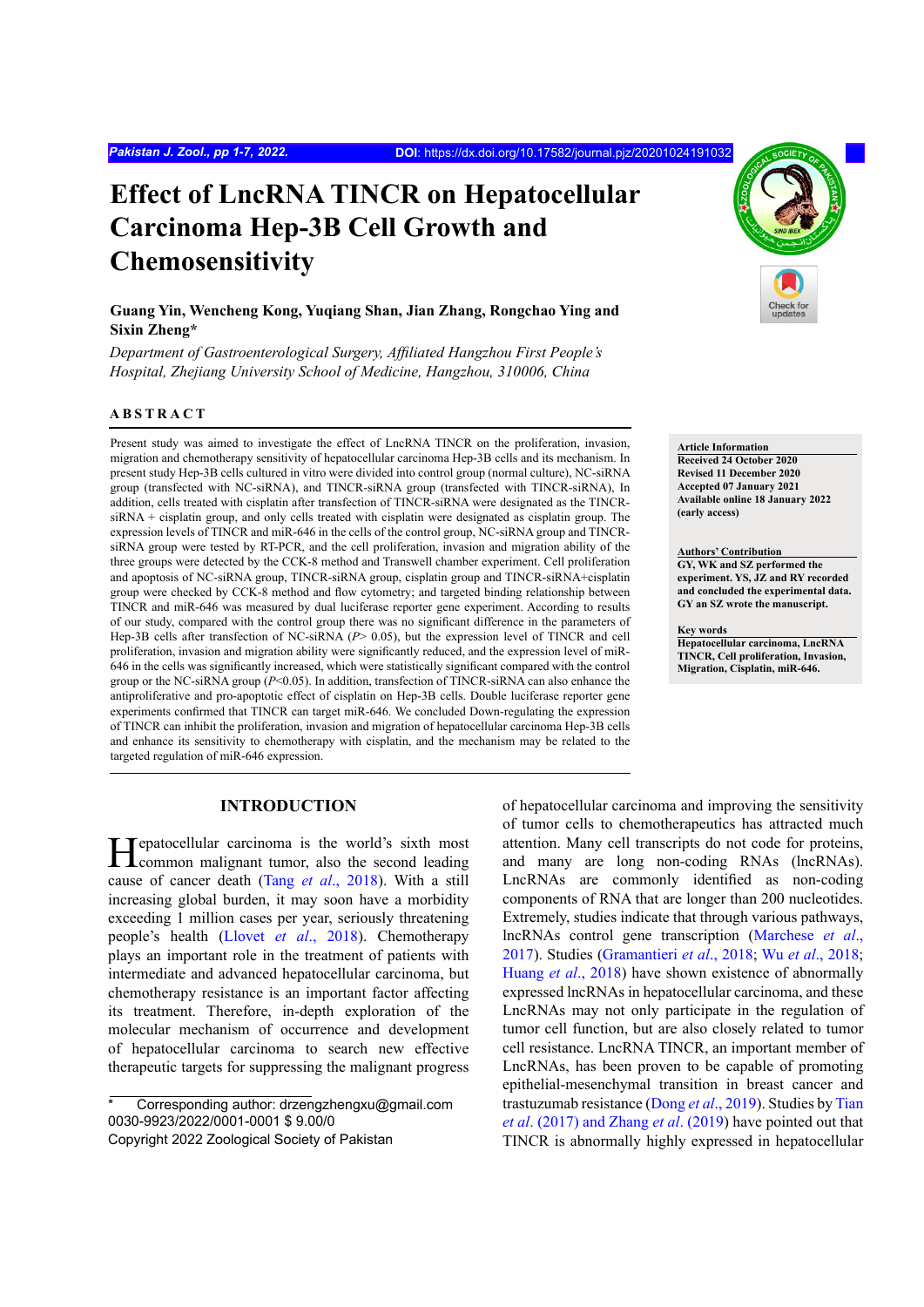# **Effect of LncRNA TINCR on Hepatocellular Carcinoma Hep-3B Cell Growth and Chemosensitivity**

## **Guang Yin, Wencheng Kong, Yuqiang Shan, Jian Zhang, Rongchao Ying and Sixin Zheng\***

*Department of Gastroenterological Surgery, Affiliated Hangzhou First People's Hospital, Zhejiang University School of Medicine, Hangzhou, 310006, China*

#### **ABSTRACT**

Present study was aimed to investigate the effect of LncRNA TINCR on the proliferation, invasion, migration and chemotherapy sensitivity of hepatocellular carcinoma Hep-3B cells and its mechanism. In present study Hep-3B cells cultured in vitro were divided into control group (normal culture), NC-siRNA group (transfected with NC-siRNA), and TINCR-siRNA group (transfected with TINCR-siRNA), In addition, cells treated with cisplatin after transfection of TINCR-siRNA were designated as the TINCRsiRNA + cisplatin group, and only cells treated with cisplatin were designated as cisplatin group. The expression levels of TINCR and miR-646 in the cells of the control group, NC-siRNA group and TINCRsiRNA group were tested by RT-PCR, and the cell proliferation, invasion and migration ability of the three groups were detected by the CCK-8 method and Transwell chamber experiment. Cell proliferation and apoptosis of NC-siRNA group, TINCR-siRNA group, cisplatin group and TINCR-siRNA+cisplatin group were checked by CCK-8 method and flow cytometry; and targeted binding relationship between TINCR and miR-646 was measured by dual luciferase reporter gene experiment. According to results of our study, compared with the control group there was no significant difference in the parameters of Hep-3B cells after transfection of NC-siRNA ( $P$ > 0.05), but the expression level of TINCR and cell proliferation, invasion and migration ability were significantly reduced, and the expression level of miR-646 in the cells was significantly increased, which were statistically significant compared with the control group or the NC-siRNA group (*P*<0.05). In addition, transfection of TINCR-siRNA can also enhance the antiproliferative and pro-apoptotic effect of cisplatin on Hep-3B cells. Double luciferase reporter gene experiments confirmed that TINCR can target miR-646. We concluded Down-regulating the expression of TINCR can inhibit the proliferation, invasion and migration of hepatocellular carcinoma Hep-3B cells and enhance its sensitivity to chemotherapy with cisplatin, and the mechanism may be related to the targeted regulation of miR-646 expression.

## **INTRODUCTION**

Hepatocellular carcinoma is the world's sixth most<br>
common malignant tumor, also the second leading cause of cancer death (Tang *et al*., 2018). With a still increasing global burden, it may soon have a morbidity exceeding 1 million cases per year, seriously threatening people's health (Llovet *et al*[., 2018\)](#page-5-1). Chemotherapy plays an important role in the treatment of patients with intermediate and advanced hepatocellular carcinoma, but chemotherapy resistance is an important factor affecting its treatment. Therefore, in-depth exploration of the molecular mechanism of occurrence and development of hepatocellular carcinoma to search new effective therapeutic targets for suppressing the malignant progress

Corresponding author: drzengzhengxu@gmail.com 0030-9923/2022/0001-0001 \$ 9.00/0



## **Article Information**

**Received 24 October 2020 Revised 11 December 2020 Accepted 07 January 2021 Available online 18 January 2022 (early access)**

#### **Authors' Contribution**

**GY, WK and SZ performed the experiment. YS, JZ and RY recorded and concluded the experimental data. GY an SZ wrote the manuscript.**

#### **Key words**

**Hepatocellular carcinoma, LncRNA TINCR, Cell proliferation, Invasion, Migration, Cisplatin, miR-646.**

of hepatocellular carcinoma and improving the sensitivity of tumor cells to chemotherapeutics has attracted much attention. Many cell transcripts do not code for proteins, and many are long non-coding RNAs (lncRNAs). LncRNAs are commonly identified as non-coding components of RNA that are longer than 200 nucleotides. Extremely, studies indicate that through various pathways, lncRNAs control gene transcription ([Marchese](#page-5-2) *et al*., [2017\)](#page-5-2). Studies [\(Gramantieri](#page-5-3) *et al*., 2018; Wu *et al*[., 2018](#page-5-4); [Huang](#page-5-5) *et al*., 2018) have shown existence of abnormally expressed lncRNAs in hepatocellular carcinoma, and these LncRNAs may not only participate in the regulation of tumor cell function, but are also closely related to tumor cell resistance. LncRNA TINCR, an important member of LncRNAs, has been proven to be capable of promoting epithelial-mesenchymal transition in breast cancer and trastuzumab resistance (Dong *et al*[., 2019\)](#page-5-6). Studies by [Tian](#page-5-7) *et al*[. \(2017\)](#page-5-7) and Zhang *et al*[. \(2019](#page-6-0)) have pointed out that TINCR is abnormally highly expressed in hepatocellular

Copyright 2022 Zoological Society of Pakistan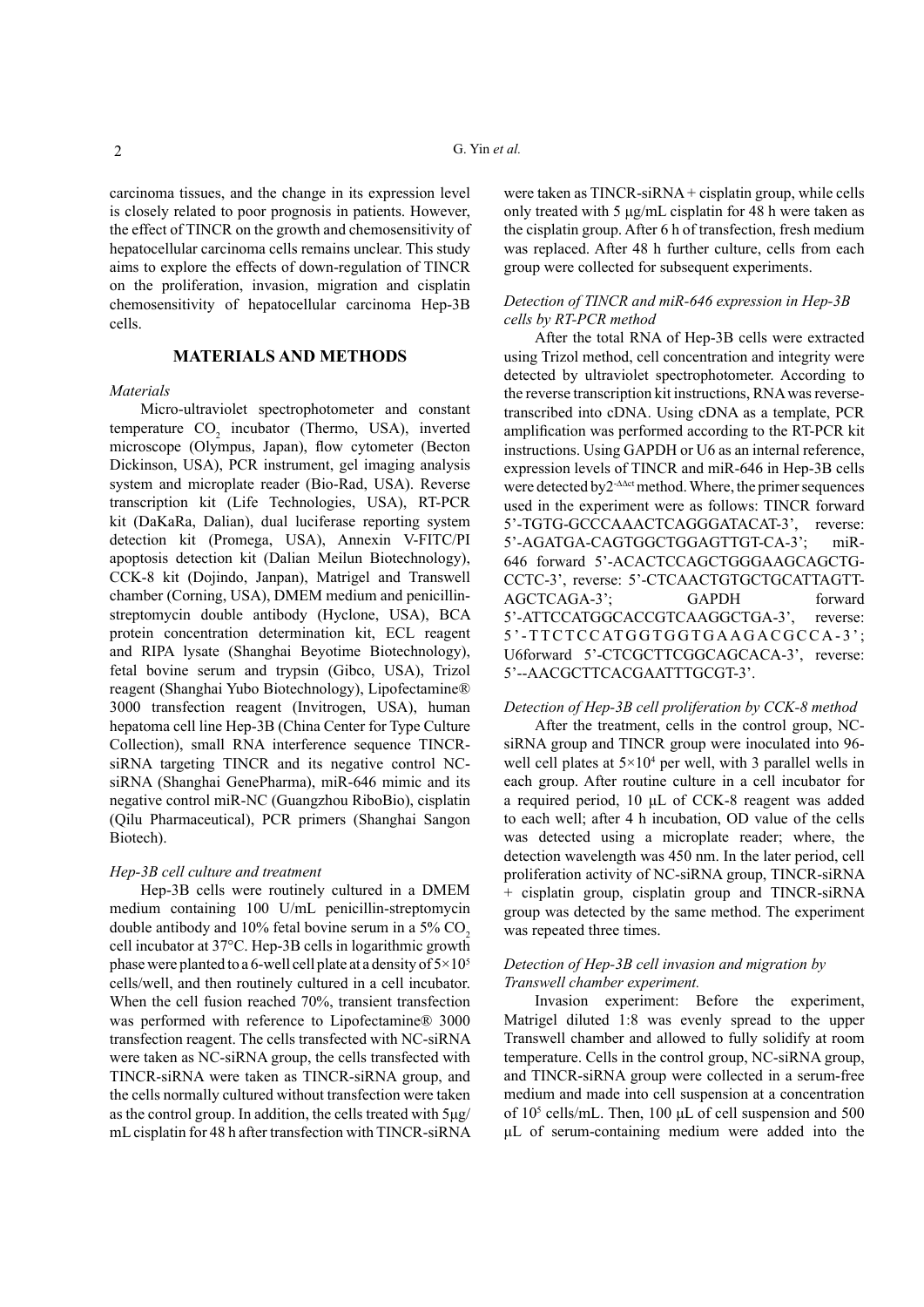carcinoma tissues, and the change in its expression level is closely related to poor prognosis in patients. However, the effect of TINCR on the growth and chemosensitivity of hepatocellular carcinoma cells remains unclear. This study aims to explore the effects of down-regulation of TINCR on the proliferation, invasion, migration and cisplatin chemosensitivity of hepatocellular carcinoma Hep-3B cells.

## **MATERIALS AND METHODS**

#### *Materials*

Micro-ultraviolet spectrophotometer and constant temperature  $CO_2$  incubator (Thermo, USA), inverted microscope (Olympus, Japan), flow cytometer (Becton Dickinson, USA), PCR instrument, gel imaging analysis system and microplate reader (Bio-Rad, USA). Reverse transcription kit (Life Technologies, USA), RT-PCR kit (DaKaRa, Dalian), dual luciferase reporting system detection kit (Promega, USA), Annexin V-FITC/PI apoptosis detection kit (Dalian Meilun Biotechnology), CCK-8 kit (Dojindo, Janpan), Matrigel and Transwell chamber (Corning, USA), DMEM medium and penicillinstreptomycin double antibody (Hyclone, USA), BCA protein concentration determination kit, ECL reagent and RIPA lysate (Shanghai Beyotime Biotechnology), fetal bovine serum and trypsin (Gibco, USA), Trizol reagent (Shanghai Yubo Biotechnology), Lipofectamine® 3000 transfection reagent (Invitrogen, USA), human hepatoma cell line Hep-3B (China Center for Type Culture Collection), small RNA interference sequence TINCRsiRNA targeting TINCR and its negative control NCsiRNA (Shanghai GenePharma), miR-646 mimic and its negative control miR-NC (Guangzhou RiboBio), cisplatin (Qilu Pharmaceutical), PCR primers (Shanghai Sangon Biotech).

#### *Hep-3B cell culture and treatment*

Hep-3B cells were routinely cultured in a DMEM medium containing 100 U/mL penicillin-streptomycin double antibody and  $10\%$  fetal bovine serum in a  $5\%$  CO<sub>2</sub> cell incubator at 37°C. Hep-3B cells in logarithmic growth phase were planted to a 6-well cell plate at a density of  $5\times10^5$ cells/well, and then routinely cultured in a cell incubator. When the cell fusion reached 70%, transient transfection was performed with reference to Lipofectamine® 3000 transfection reagent. The cells transfected with NC-siRNA were taken as NC-siRNA group, the cells transfected with TINCR-siRNA were taken as TINCR-siRNA group, and the cells normally cultured without transfection were taken as the control group. In addition, the cells treated with 5μg/ mL cisplatin for 48 h after transfection with TINCR-siRNA

were taken as TINCR-siRNA + cisplatin group, while cells only treated with 5 μg/mL cisplatin for 48 h were taken as the cisplatin group. After 6 h of transfection, fresh medium was replaced. After 48 h further culture, cells from each group were collected for subsequent experiments.

## *Detection of TINCR and miR-646 expression in Hep-3B cells by RT-PCR method*

After the total RNA of Hep-3B cells were extracted using Trizol method, cell concentration and integrity were detected by ultraviolet spectrophotometer. According to the reverse transcription kit instructions, RNA was reversetranscribed into cDNA. Using cDNA as a template, PCR amplification was performed according to the RT-PCR kit instructions. Using GAPDH or U6 as an internal reference, expression levels of TINCR and miR-646 in Hep-3B cells were detected by2-**∆∆**ct method. Where, the primer sequences used in the experiment were as follows: TINCR forward 5'-TGTG-GCCCAAACTCAGGGATACAT-3', reverse: 5'-AGATGA-CAGTGGCTGGAGTTGT-CA-3'; miR-646 forward 5'-ACACTCCAGCTGGGAAGCAGCTG-CCTC-3', reverse: 5'-CTCAACTGTGCTGCATTAGTT-AGCTCAGA-3'; GAPDH forward 5'-ATTCCATGGCACCGTCAAGGCTGA-3', reverse: 5 ' - T T C T C C AT G G T G G T G A A G A C G C C A - 3 ' ; U6forward 5'-CTCGCTTCGGCAGCACA-3', reverse: 5'--AACGCTTCACGAATTTGCGT-3'.

## *Detection of Hep-3B cell proliferation by CCK-8 method*

After the treatment, cells in the control group, NCsiRNA group and TINCR group were inoculated into 96 well cell plates at  $5 \times 10^4$  per well, with 3 parallel wells in each group. After routine culture in a cell incubator for a required period, 10 μL of CCK-8 reagent was added to each well; after 4 h incubation, OD value of the cells was detected using a microplate reader; where, the detection wavelength was 450 nm. In the later period, cell proliferation activity of NC-siRNA group, TINCR-siRNA + cisplatin group, cisplatin group and TINCR-siRNA group was detected by the same method. The experiment was repeated three times.

## *Detection of Hep-3B cell invasion and migration by Transwell chamber experiment.*

Invasion experiment: Before the experiment, Matrigel diluted 1:8 was evenly spread to the upper Transwell chamber and allowed to fully solidify at room temperature. Cells in the control group, NC-siRNA group, and TINCR-siRNA group were collected in a serum-free medium and made into cell suspension at a concentration of 105 cells/mL. Then, 100 μL of cell suspension and 500 μL of serum-containing medium were added into the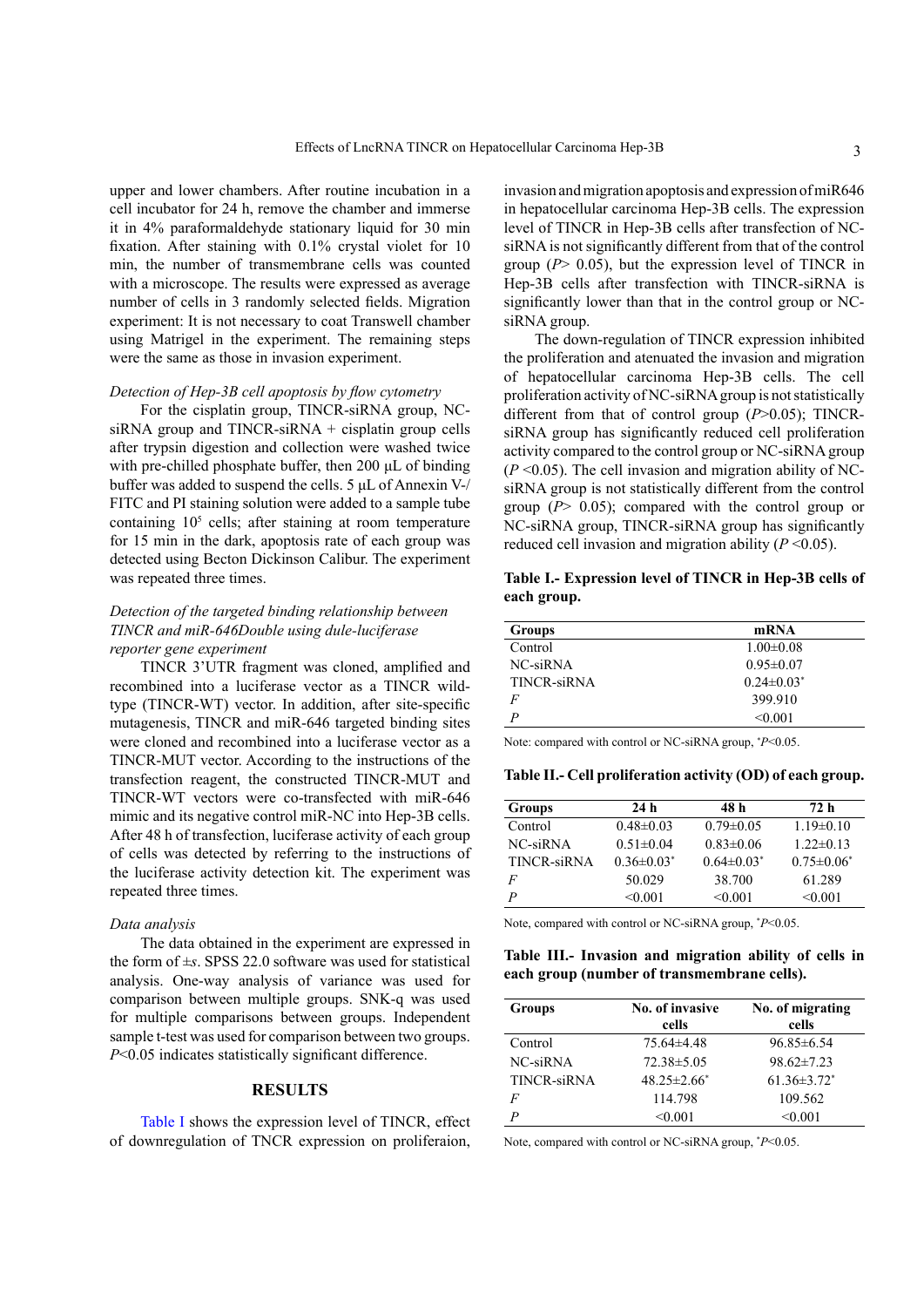upper and lower chambers. After routine incubation in a cell incubator for 24 h, remove the chamber and immerse it in 4% paraformaldehyde stationary liquid for 30 min fixation. After staining with 0.1% crystal violet for 10 min, the number of transmembrane cells was counted with a microscope. The results were expressed as average number of cells in 3 randomly selected fields. Migration experiment: It is not necessary to coat Transwell chamber using Matrigel in the experiment. The remaining steps were the same as those in invasion experiment.

#### *Detection of Hep-3B cell apoptosis by flow cytometry*

For the cisplatin group, TINCR-siRNA group, NCsiRNA group and TINCR-siRNA + cisplatin group cells after trypsin digestion and collection were washed twice with pre-chilled phosphate buffer, then 200 μL of binding buffer was added to suspend the cells. 5 μL of Annexin V-/ FITC and PI staining solution were added to a sample tube containing 10<sup>5</sup> cells; after staining at room temperature for 15 min in the dark, apoptosis rate of each group was detected using Becton Dickinson Calibur. The experiment was repeated three times.

#### *Detection of the targeted binding relationship between TINCR and miR-646Double using dule-luciferase reporter gene experiment*

TINCR 3'UTR fragment was cloned, amplified and recombined into a luciferase vector as a TINCR wildtype (TINCR-WT) vector. In addition, after site-specific mutagenesis, TINCR and miR-646 targeted binding sites were cloned and recombined into a luciferase vector as a TINCR-MUT vector. According to the instructions of the transfection reagent, the constructed TINCR-MUT and TINCR-WT vectors were co-transfected with miR-646 mimic and its negative control miR-NC into Hep-3B cells. After 48 h of transfection, luciferase activity of each group of cells was detected by referring to the instructions of the luciferase activity detection kit. The experiment was repeated three times.

#### *Data analysis*

The data obtained in the experiment are expressed in the form of *±s*. SPSS 22.0 software was used for statistical analysis. One-way analysis of variance was used for comparison between multiple groups. SNK-q was used for multiple comparisons between groups. Independent sample t-test was used for comparison between two groups. *P*<0.05 indicates statistically significant difference.

#### **RESULTS**

[Table](#page-2-0) I shows the expression level of TINCR, effect of downregulation of TNCR expression on proliferaion,

invasion and migration apoptosis and expression of miR646 in hepatocellular carcinoma Hep-3B cells. The expression level of TINCR in Hep-3B cells after transfection of NCsiRNA is not significantly different from that of the control group (*P*> 0.05), but the expression level of TINCR in Hep-3B cells after transfection with TINCR-siRNA is significantly lower than that in the control group or NCsiRNA group.

The down-regulation of TINCR expression inhibited the proliferation and atenuated the invasion and migration of hepatocellular carcinoma Hep-3B cells. The cell proliferation activity of NC-siRNA group is not statistically different from that of control group (*P*>0.05); TINCRsiRNA group has significantly reduced cell proliferation activity compared to the control group or NC-siRNA group  $(P \le 0.05)$ . The cell invasion and migration ability of NCsiRNA group is not statistically different from the control group (*P*> 0.05); compared with the control group or NC-siRNA group, TINCR-siRNA group has significantly reduced cell invasion and migration ability  $(P \le 0.05)$ .

<span id="page-2-0"></span>**Table I.- Expression level of TINCR in Hep-3B cells of each group.**

| Groups      | mRNA              |
|-------------|-------------------|
| Control     | $1.00 \pm 0.08$   |
| NC-siRNA    | $0.95 \pm 0.07$   |
| TINCR-siRNA | $0.24 \pm 0.03^*$ |
| F           | 399.910           |
| D           | < 0.001           |

Note: compared with control or NC-siRNA group, \* *P*<0.05.

**Table II.- Cell proliferation activity (OD) of each group.**

| <b>Groups</b> | 24h               | 48 h              | 72 h              |
|---------------|-------------------|-------------------|-------------------|
| Control       | $0.48 \pm 0.03$   | $0.79 \pm 0.05$   | $1.19 \pm 0.10$   |
| NC-siRNA      | $0.51 \pm 0.04$   | $0.83 \pm 0.06$   | $1.22 \pm 0.13$   |
| TINCR-siRNA   | $0.36 \pm 0.03^*$ | $0.64 \pm 0.03^*$ | $0.75 \pm 0.06^*$ |
| F             | 50.029            | 38.700            | 61.289            |
| P             | < 0.001           | < 0.001           | < 0.001           |

Note, compared with control or NC-siRNA group, \* *P*<0.05.

## **Table III.- Invasion and migration ability of cells in each group (number of transmembrane cells).**

| <b>Groups</b>      | No. of invasive<br>cells | No. of migrating<br>cells     |
|--------------------|--------------------------|-------------------------------|
| Control            | $75.64\pm4.48$           | $96.85 \pm 6.54$              |
| NC-siRNA           | 72.38 ± 5.05             | $98.62 \pm 7.23$              |
| <b>TINCR-siRNA</b> | $48.25 \pm 2.66^*$       | $61.36 \pm 3.72$ <sup>*</sup> |
| F                  | 114.798                  | 109.562                       |
| P                  | < 0.001                  | < 0.001                       |

Note, compared with control or NC-siRNA group, \* *P*<0.05.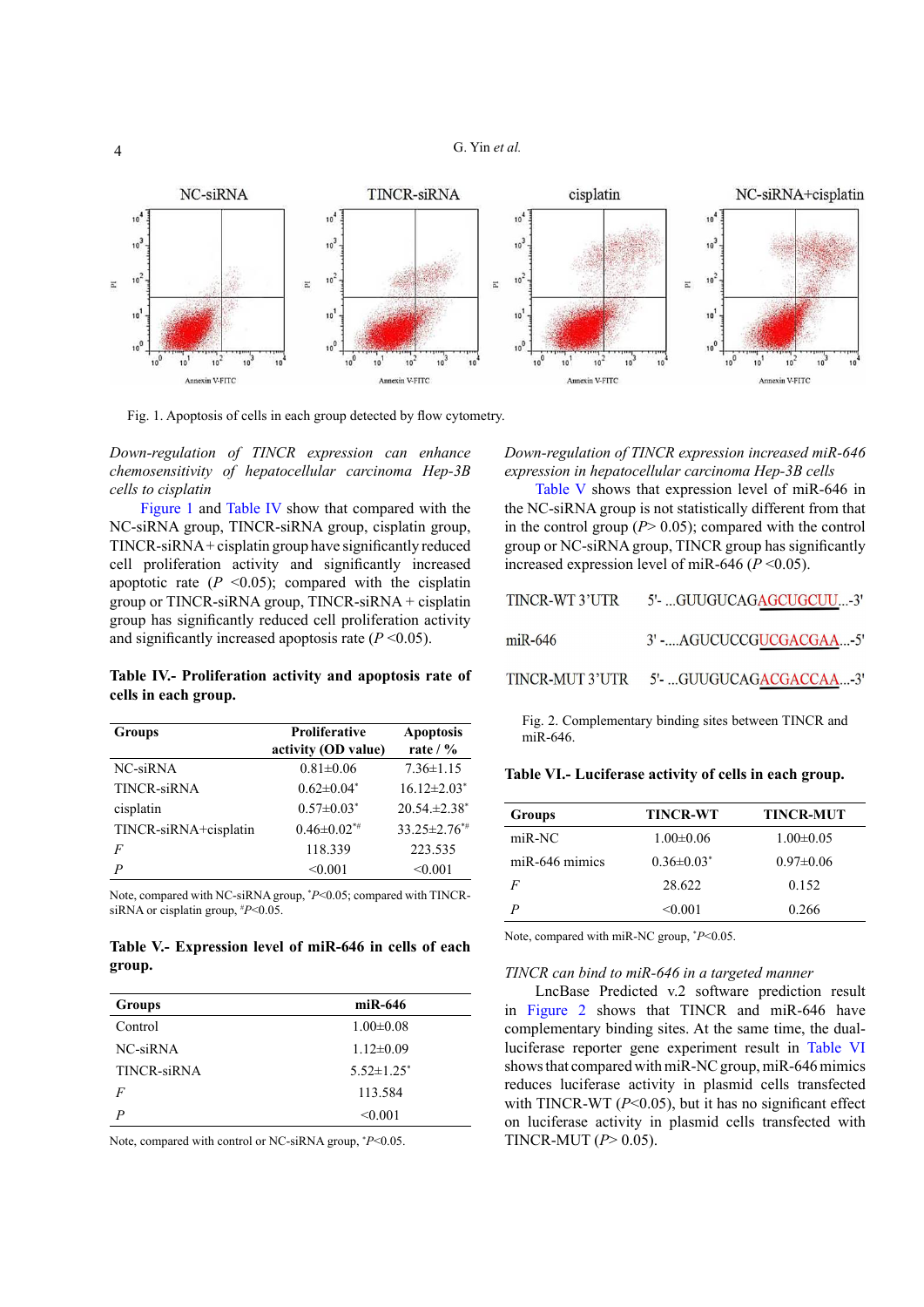

<span id="page-3-0"></span>Fig. 1. Apoptosis of cells in each group detected by flow cytometry.

*Down-regulation of TINCR expression can enhance chemosensitivity of hepatocellular carcinoma Hep-3B cells to cisplatin*

[Figure](#page-3-0) 1 and [Table](#page-3-1) IV show that compared with the NC-siRNA group, TINCR-siRNA group, cisplatin group, TINCR-siRNA + cisplatin group have significantly reduced cell proliferation activity and significantly increased apoptotic rate  $(P \le 0.05)$ ; compared with the cisplatin group or TINCR-siRNA group, TINCR-siRNA + cisplatin group has significantly reduced cell proliferation activity and significantly increased apoptosis rate  $(P \le 0.05)$ .

<span id="page-3-1"></span>**Table IV.- Proliferation activity and apoptosis rate of cells in each group.**

| <b>Groups</b>         | <b>Proliferative</b><br>activity (OD value) | <b>Apoptosis</b><br>rate $/$ % |
|-----------------------|---------------------------------------------|--------------------------------|
| NC-siRNA              | $0.81 \pm 0.06$                             | $7.36 \pm 1.15$                |
| TINCR-siRNA           | $0.62 \pm 0.04^*$                           | $16.12 \pm 2.03$ <sup>*</sup>  |
| cisplatin             | $0.57 \pm 0.03^*$                           | $20.54 \pm 2.38^*$             |
| TINCR-siRNA+cisplatin | $0.46 \pm 0.02$ <sup>*#</sup>               | $33.25 \pm 2.76^{*}$           |
| F                     | 118.339                                     | 223.535                        |
| P                     | < 0.001                                     | < 0.001                        |

Note, compared with NC-siRNA group, \* *P*<0.05; compared with TINCRsiRNA or cisplatin group, # *P*<0.05.

<span id="page-3-2"></span>**Table V.- Expression level of miR-646 in cells of each group.**

| <b>Groups</b> | $miR-646$         |
|---------------|-------------------|
| Control       | $1.00 \pm 0.08$   |
| NC-siRNA      | $1.12 \pm 0.09$   |
| TINCR-siRNA   | $5.52 \pm 1.25^*$ |
| F             | 113.584           |
| P             | < 0.001           |

Note, compared with control or NC-siRNA group, \* *P*<0.05.

*Down-regulation of TINCR expression increased miR-646 expression in hepatocellular carcinoma Hep-3B cells*

[Table](#page-3-2) V shows that expression level of miR-646 in the NC-siRNA group is not statistically different from that in the control group  $(P>0.05)$ ; compared with the control group or NC-siRNA group, TINCR group has significantly increased expression level of miR-646 ( $P \le 0.05$ ).

| TINCR-WT 3'UTR | 5'- GUUGUCAGAGCUGCUU-3'                 |
|----------------|-----------------------------------------|
| $mR-646$       | 3' - AGUCUCCGUCGACGAA-5'                |
|                | TINCR-MUT 3'UTR 5'- GUUGUCAGACGACCAA-3' |

<span id="page-3-3"></span>Fig. 2. Complementary binding sites between TINCR and miR-646.

<span id="page-3-4"></span>**Table VI.- Luciferase activity of cells in each group.**

| <b>Groups</b>    | <b>TINCR-WT</b>   | <b>TINCR-MUT</b> |
|------------------|-------------------|------------------|
| miR-NC           | $1.00 \pm 0.06$   | $1.00 \pm 0.05$  |
| $miR-646$ mimics | $0.36 \pm 0.03^*$ | $0.97 \pm 0.06$  |
| F                | 28.622            | 0.152            |
| P                | $\leq 0.001$      | 0.266            |

Note, compared with miR-NC group, \* *P*<0.05.

#### *TINCR can bind to miR-646 in a targeted manner*

LncBase Predicted v.2 software prediction result in [Figure](#page-3-3) 2 shows that TINCR and miR-646 have complementary binding sites. At the same time, the dualluciferase reporter gene experiment result in [Table](#page-3-4) VI shows that compared with miR-NC group, miR-646 mimics reduces luciferase activity in plasmid cells transfected with TINCR-WT  $(P<0.05)$ , but it has no significant effect on luciferase activity in plasmid cells transfected with TINCR-MUT (*P*> 0.05).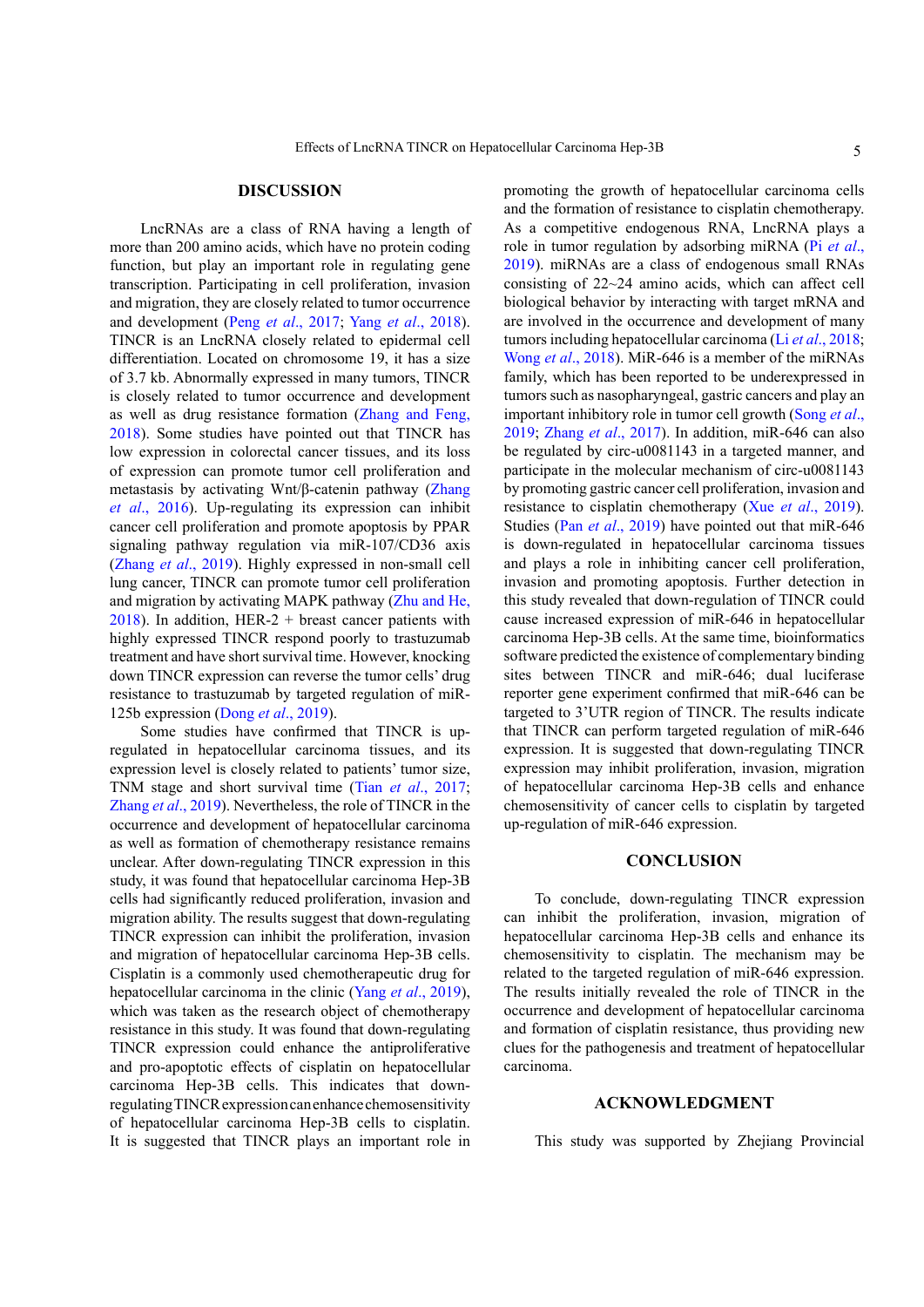#### **DISCUSSION**

LncRNAs are a class of RNA having a length of more than 200 amino acids, which have no protein coding function, but play an important role in regulating gene transcription. Participating in cell proliferation, invasion and migration, they are closely related to tumor occurrence and development (Peng *et al*[., 2017](#page-5-8); Yang *et al*[., 2018](#page-5-9)). TINCR is an LncRNA closely related to epidermal cell differentiation. Located on chromosome 19, it has a size of 3.7 kb. Abnormally expressed in many tumors, TINCR is closely related to tumor occurrence and development as well as drug resistance formation ([Zhang and Feng,](#page-6-1) [2018\)](#page-6-1). Some studies have pointed out that TINCR has low expression in colorectal cancer tissues, and its loss of expression can promote tumor cell proliferation and metastasis by activating Wnt/β-catenin pathway ([Zhang](#page-6-2) *et al*[., 2016\)](#page-6-2). Up-regulating its expression can inhibit cancer cell proliferation and promote apoptosis by PPAR signaling pathway regulation via miR-107/CD36 axis (Zhang *et al*[., 2019](#page-6-0)). Highly expressed in non-small cell lung cancer, TINCR can promote tumor cell proliferation and migration by activating MAPK pathway ([Zhu and He,](#page-6-3) [2018\)](#page-6-3). In addition, HER-2 + breast cancer patients with highly expressed TINCR respond poorly to trastuzumab treatment and have short survival time. However, knocking down TINCR expression can reverse the tumor cells' drug resistance to trastuzumab by targeted regulation of miR-125b expression (Dong *et al*[., 2019\)](#page-5-6).

Some studies have confirmed that TINCR is upregulated in hepatocellular carcinoma tissues, and its expression level is closely related to patients' tumor size, TNM stage and short survival time (Tian *et al*[., 2017](#page-5-7); [Zhang](#page-6-4) *et al*., 2019). Nevertheless, the role of TINCR in the occurrence and development of hepatocellular carcinoma as well as formation of chemotherapy resistance remains unclear. After down-regulating TINCR expression in this study, it was found that hepatocellular carcinoma Hep-3B cells had significantly reduced proliferation, invasion and migration ability. The results suggest that down-regulating TINCR expression can inhibit the proliferation, invasion and migration of hepatocellular carcinoma Hep-3B cells. Cisplatin is a commonly used chemotherapeutic drug for hepatocellular carcinoma in the clinic (Yang *et al*[., 2019](#page-5-9)), which was taken as the research object of chemotherapy resistance in this study. It was found that down-regulating TINCR expression could enhance the antiproliferative and pro-apoptotic effects of cisplatin on hepatocellular carcinoma Hep-3B cells. This indicates that downregulating TINCR expression can enhance chemosensitivity of hepatocellular carcinoma Hep-3B cells to cisplatin. It is suggested that TINCR plays an important role in promoting the growth of hepatocellular carcinoma cells and the formation of resistance to cisplatin chemotherapy. As a competitive endogenous RNA, LncRNA plays a role in tumor regulation by adsorbing miRNA (Pi *[et al](#page-5-10)*., [2019\)](#page-5-10). miRNAs are a class of endogenous small RNAs consisting of 22~24 amino acids, which can affect cell biological behavior by interacting with target mRNA and are involved in the occurrence and development of many tumors including hepatocellular carcinoma (Li *et al*[., 2018](#page-5-11); Wong *et al*[., 2018](#page-5-12)). MiR-646 is a member of the miRNAs family, which has been reported to be underexpressed in tumors such as nasopharyngeal, gastric cancers and play an important inhibitory role in tumor cell growth [\(Song](#page-5-13) *et al*., [2019](#page-5-13); Zhang *et al*[., 2017](#page-5-14)). In addition, miR-646 can also be regulated by circ-u0081143 in a targeted manner, and participate in the molecular mechanism of circ-u0081143 by promoting gastric cancer cell proliferation, invasion and resistance to cisplatin chemotherapy (Xue *et al*[., 2019](#page-5-15)). Studies (Pan *et al*[., 2019](#page-5-16)) have pointed out that miR-646 is down-regulated in hepatocellular carcinoma tissues and plays a role in inhibiting cancer cell proliferation, invasion and promoting apoptosis. Further detection in this study revealed that down-regulation of TINCR could cause increased expression of miR-646 in hepatocellular carcinoma Hep-3B cells. At the same time, bioinformatics software predicted the existence of complementary binding sites between TINCR and miR-646; dual luciferase reporter gene experiment confirmed that miR-646 can be targeted to 3'UTR region of TINCR. The results indicate that TINCR can perform targeted regulation of miR-646 expression. It is suggested that down-regulating TINCR expression may inhibit proliferation, invasion, migration of hepatocellular carcinoma Hep-3B cells and enhance chemosensitivity of cancer cells to cisplatin by targeted up-regulation of miR-646 expression.

#### **CONCLUSION**

To conclude, down-regulating TINCR expression can inhibit the proliferation, invasion, migration of hepatocellular carcinoma Hep-3B cells and enhance its chemosensitivity to cisplatin. The mechanism may be related to the targeted regulation of miR-646 expression. The results initially revealed the role of TINCR in the occurrence and development of hepatocellular carcinoma and formation of cisplatin resistance, thus providing new clues for the pathogenesis and treatment of hepatocellular carcinoma.

#### **ACKNOWLEDGMENT**

This study was supported by Zhejiang Provincial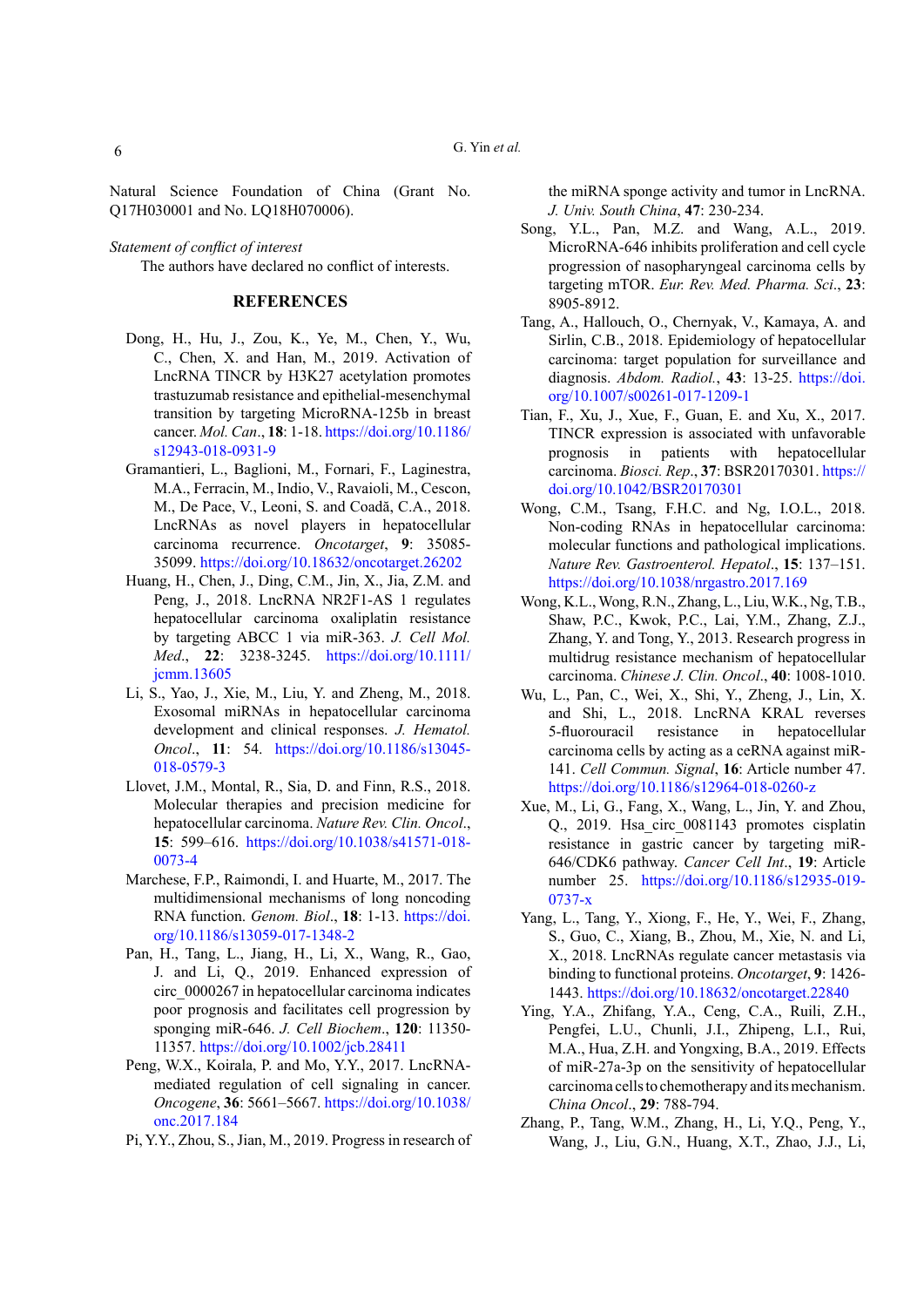Natural Science Foundation of China (Grant No. Q17H030001 and No. LQ18H070006).

*Statement of conflict of interest* The authors have declared no conflict of interests.

#### **REFERENCES**

- <span id="page-5-6"></span>Dong, H., Hu, J., Zou, K., Ye, M., Chen, Y., Wu, C., Chen, X. and Han, M., 2019. Activation of LncRNA TINCR by H3K27 acetylation promotes trastuzumab resistance and epithelial-mesenchymal transition by targeting MicroRNA-125b in breast cancer. *Mol. Can*., **18**: 1-18. [https://doi.org/10.1186/](https://doi.org/10.1186/s12943-018-0931-9) [s12943-018-0931-9](https://doi.org/10.1186/s12943-018-0931-9)
- <span id="page-5-3"></span>Gramantieri, L., Baglioni, M., Fornari, F., Laginestra, M.A., Ferracin, M., Indio, V., Ravaioli, M., Cescon, M., De Pace, V., Leoni, S. and Coadă, C.A., 2018. LncRNAs as novel players in hepatocellular carcinoma recurrence. *Oncotarget*, **9**: 35085- 35099.<https://doi.org/10.18632/oncotarget.26202>
- <span id="page-5-5"></span>Huang, H., Chen, J., Ding, C.M., Jin, X., Jia, Z.M. and Peng, J., 2018. LncRNA NR2F1-AS 1 regulates hepatocellular carcinoma oxaliplatin resistance by targeting ABCC 1 via miR-363. *J. Cell Mol. Med*., **22**: 3238-3245. [https://doi.org/10.1111/](https://doi.org/10.1111/jcmm.13605) [jcmm.13605](https://doi.org/10.1111/jcmm.13605)
- <span id="page-5-11"></span>Li, S., Yao, J., Xie, M., Liu, Y. and Zheng, M., 2018. Exosomal miRNAs in hepatocellular carcinoma development and clinical responses. *J. Hematol. Oncol*., **11**: 54. [https://doi.org/10.1186/s13045-](https://doi.org/10.1186/s13045-018-0579-3) [018-0579-3](https://doi.org/10.1186/s13045-018-0579-3)
- <span id="page-5-1"></span>Llovet, J.M., Montal, R., Sia, D. and Finn, R.S., 2018. Molecular therapies and precision medicine for hepatocellular carcinoma. *Nature Rev. Clin. Oncol*., **15**: 599–616. [https://doi.org/10.1038/s41571-018-](https://doi.org/10.1038/s41571-018-0073-4) [0073-4](https://doi.org/10.1038/s41571-018-0073-4)
- <span id="page-5-2"></span>Marchese, F.P., Raimondi, I. and Huarte, M., 2017. The multidimensional mechanisms of long noncoding RNA function. *Genom. Biol*., **18**: 1-13. [https://doi.](https://doi.org/10.1186/s13059-017-1348-2) [org/10.1186/s13059-017-1348-2](https://doi.org/10.1186/s13059-017-1348-2)
- <span id="page-5-16"></span>Pan, H., Tang, L., Jiang, H., Li, X., Wang, R., Gao, J. and Li, Q., 2019. Enhanced expression of circ\_0000267 in hepatocellular carcinoma indicates poor prognosis and facilitates cell progression by sponging miR-646. *J. Cell Biochem*., **120**: 11350- 11357. <https://doi.org/10.1002/jcb.28411>
- <span id="page-5-8"></span>Peng, W.X., Koirala, P. and Mo, Y.Y., 2017. LncRNAmediated regulation of cell signaling in cancer. *Oncogene*, **36**: 5661–5667. [https://doi.org/10.1038/](https://doi.org/10.1038/onc.2017.184) [onc.2017.184](https://doi.org/10.1038/onc.2017.184)
- <span id="page-5-10"></span>Pi, Y.Y., Zhou, S., Jian, M., 2019. Progress in research of

the miRNA sponge activity and tumor in LncRNA. *J. Univ. South China*, **47**: 230-234.

- <span id="page-5-13"></span>Song, Y.L., Pan, M.Z. and Wang, A.L., 2019. MicroRNA-646 inhibits proliferation and cell cycle progression of nasopharyngeal carcinoma cells by targeting mTOR. *Eur. Rev. Med. Pharma. Sci*., **23**: 8905-8912.
- <span id="page-5-0"></span>Tang, A., Hallouch, O., Chernyak, V., Kamaya, A. and Sirlin, C.B., 2018. Epidemiology of hepatocellular carcinoma: target population for surveillance and diagnosis. *Abdom. Radiol.*, **43**: 13-25. [https://doi.](https://doi.org/10.1007/s00261-017-1209-1) [org/10.1007/s00261-017-1209-1](https://doi.org/10.1007/s00261-017-1209-1)
- <span id="page-5-7"></span>Tian, F., Xu, J., Xue, F., Guan, E. and Xu, X., 2017. TINCR expression is associated with unfavorable prognosis in patients with hepatocellular carcinoma. *Biosci. Rep*., **37**: BSR20170301. [https://](https://doi.org/10.1042/BSR20170301) [doi.org/10.1042/BSR20170301](https://doi.org/10.1042/BSR20170301)
- <span id="page-5-12"></span>Wong, C.M., Tsang, F.H.C. and Ng, I.O.L., 2018. Non-coding RNAs in hepatocellular carcinoma: molecular functions and pathological implications. *Nature Rev. Gastroenterol. Hepatol*., **15**: 137–151. <https://doi.org/10.1038/nrgastro.2017.169>
- Wong, K.L., Wong, R.N., Zhang, L., Liu, W.K., Ng, T.B., Shaw, P.C., Kwok, P.C., Lai, Y.M., Zhang, Z.J., Zhang, Y. and Tong, Y., 2013. Research progress in multidrug resistance mechanism of hepatocellular carcinoma. *Chinese J. Clin. Oncol*., **40**: 1008-1010.
- <span id="page-5-4"></span>Wu, L., Pan, C., Wei, X., Shi, Y., Zheng, J., Lin, X. and Shi, L., 2018. LncRNA KRAL reverses 5-fluorouracil resistance in hepatocellular carcinoma cells by acting as a ceRNA against miR-141. *Cell Commun. Signal*, **16**: Article number 47. <https://doi.org/10.1186/s12964-018-0260-z>
- <span id="page-5-15"></span>Xue, M., Li, G., Fang, X., Wang, L., Jin, Y. and Zhou, Q., 2019. Hsa circ 0081143 promotes cisplatin resistance in gastric cancer by targeting miR-646/CDK6 pathway. *Cancer Cell Int*., **19**: Article number 25. [https://doi.org/10.1186/s12935-019-](https://doi.org/10.1186/s12935-019-0737-x) [0737-x](https://doi.org/10.1186/s12935-019-0737-x)
- <span id="page-5-9"></span>Yang, L., Tang, Y., Xiong, F., He, Y., Wei, F., Zhang, S., Guo, C., Xiang, B., Zhou, M., Xie, N. and Li, X., 2018. LncRNAs regulate cancer metastasis via binding to functional proteins. *Oncotarget*, **9**: 1426- 1443.<https://doi.org/10.18632/oncotarget.22840>
- Ying, Y.A., Zhifang, Y.A., Ceng, C.A., Ruili, Z.H., Pengfei, L.U., Chunli, J.I., Zhipeng, L.I., Rui, M.A., Hua, Z.H. and Yongxing, B.A., 2019. Effects of miR-27a-3p on the sensitivity of hepatocellular carcinoma cells to chemotherapy and its mechanism. *China Oncol*., **29**: 788-794.
- <span id="page-5-14"></span>Zhang, P., Tang, W.M., Zhang, H., Li, Y.Q., Peng, Y., Wang, J., Liu, G.N., Huang, X.T., Zhao, J.J., Li,